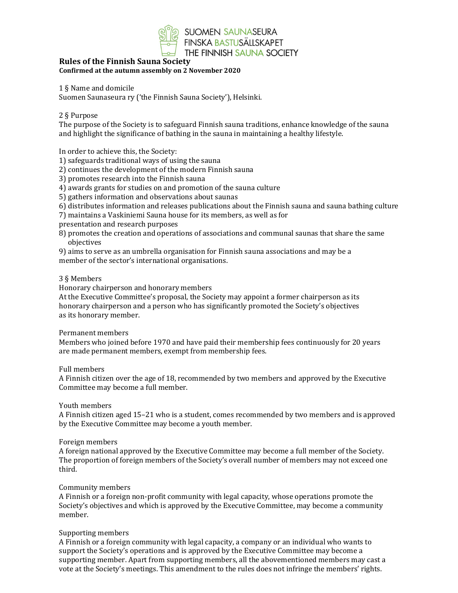

# Rules of the Finnish Sauna Society Confirmed at the autumn assembly on 2 November 2020

### 1 § Name and domicile

Suomen Saunaseura ry ('the Finnish Sauna Society'), Helsinki.

### 2 § Purpose

The purpose of the Society is to safeguard Finnish sauna traditions, enhance knowledge of the sauna and highlight the significance of bathing in the sauna in maintaining a healthy lifestyle.

In order to achieve this, the Society:

1) safeguards traditional ways of using the sauna

2) continues the development of the modern Finnish sauna

3) promotes research into the Finnish sauna

4) awards grants for studies on and promotion of the sauna culture

- 5) gathers information and observations about saunas
- 6) distributes information and releases publications about the Finnish sauna and sauna bathing culture
- 7) maintains a Vaskiniemi Sauna house for its members, as well as for
- presentation and research purposes
- 8) promotes the creation and operations of associations and communal saunas that share the same objectives

9) aims to serve as an umbrella organisation for Finnish sauna associations and may be a member of the sector's international organisations.

#### 3 § Members

Honorary chairperson and honorary members

At the Executive Committee's proposal, the Society may appoint a former chairperson as its honorary chairperson and a person who has significantly promoted the Society's objectives as its honorary member.

#### Permanent members

Members who joined before 1970 and have paid their membership fees continuously for 20 years are made permanent members, exempt from membership fees.

#### Full members

A Finnish citizen over the age of 18, recommended by two members and approved by the Executive Committee may become a full member.

### Youth members

A Finnish citizen aged 15–21 who is a student, comes recommended by two members and is approved by the Executive Committee may become a youth member.

#### Foreign members

A foreign national approved by the Executive Committee may become a full member of the Society. The proportion of foreign members of the Society's overall number of members may not exceed one third.

## Community members

A Finnish or a foreign non-profit community with legal capacity, whose operations promote the Society's objectives and which is approved by the Executive Committee, may become a community member.

## Supporting members

A Finnish or a foreign community with legal capacity, a company or an individual who wants to support the Society's operations and is approved by the Executive Committee may become a supporting member. Apart from supporting members, all the abovementioned members may cast a vote at the Society's meetings. This amendment to the rules does not infringe the members' rights.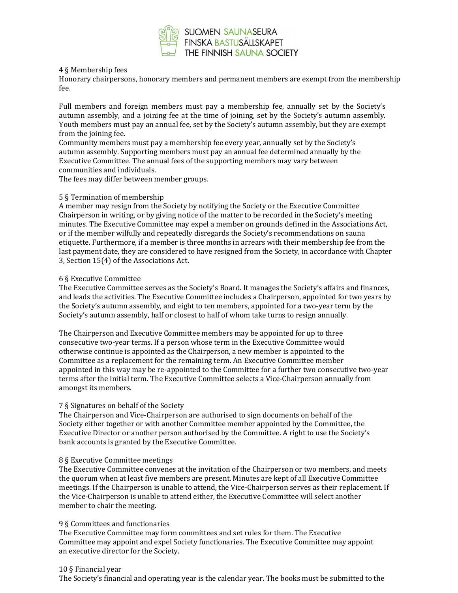

### 4 § Membership fees

Honorary chairpersons, honorary members and permanent members are exempt from the membership fee.

Full members and foreign members must pay a membership fee, annually set by the Society's autumn assembly, and a joining fee at the time of joining, set by the Society's autumn assembly. Youth members must pay an annual fee, set by the Society's autumn assembly, but they are exempt from the joining fee.

Community members must pay a membership fee every year, annually set by the Society's autumn assembly. Supporting members must pay an annual fee determined annually by the Executive Committee. The annual fees of the supporting members may vary between communities and individuals.

The fees may differ between member groups.

#### 5 § Termination of membership

A member may resign from the Society by notifying the Society or the Executive Committee Chairperson in writing, or by giving notice of the matter to be recorded in the Society's meeting minutes. The Executive Committee may expel a member on grounds defined in the Associations Act, or if the member wilfully and repeatedly disregards the Society's recommendations on sauna etiquette. Furthermore, if a member is three months in arrears with their membership fee from the last payment date, they are considered to have resigned from the Society, in accordance with Chapter 3, Section 15(4) of the Associations Act.

#### 6 § Executive Committee

The Executive Committee serves as the Society's Board. It manages the Society's affairs and finances, and leads the activities. The Executive Committee includes a Chairperson, appointed for two years by the Society's autumn assembly, and eight to ten members, appointed for a two-year term by the Society's autumn assembly, half or closest to half of whom take turns to resign annually.

The Chairperson and Executive Committee members may be appointed for up to three consecutive two-year terms. If a person whose term in the Executive Committee would otherwise continue is appointed as the Chairperson, a new member is appointed to the Committee as a replacement for the remaining term. An Executive Committee member appointed in this way may be re-appointed to the Committee for a further two consecutive two-year terms after the initial term. The Executive Committee selects a Vice-Chairperson annually from amongst its members.

## 7 § Signatures on behalf of the Society

The Chairperson and Vice-Chairperson are authorised to sign documents on behalf of the Society either together or with another Committee member appointed by the Committee, the Executive Director or another person authorised by the Committee. A right to use the Society's bank accounts is granted by the Executive Committee.

#### 8 § Executive Committee meetings

The Executive Committee convenes at the invitation of the Chairperson or two members, and meets the quorum when at least five members are present. Minutes are kept of all Executive Committee meetings. If the Chairperson is unable to attend, the Vice-Chairperson serves as their replacement. If the Vice-Chairperson is unable to attend either, the Executive Committee will select another member to chair the meeting.

#### 9 § Committees and functionaries

The Executive Committee may form committees and set rules for them. The Executive Committee may appoint and expel Society functionaries. The Executive Committee may appoint an executive director for the Society.

#### 10 § Financial year

The Society's financial and operating year is the calendar year. The books must be submitted to the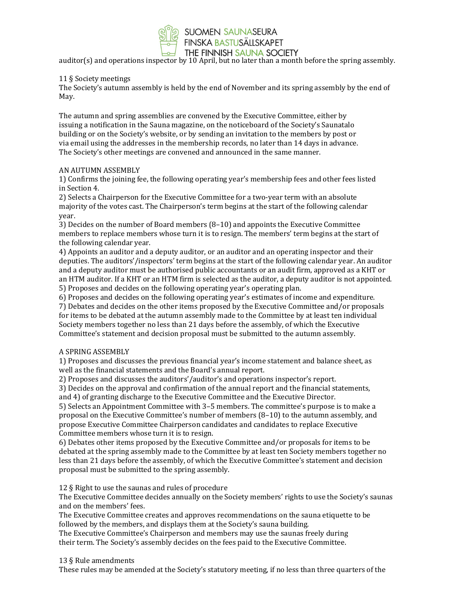

auditor(s) and operations inspector by 10 April, but no later than a month before the spring assembly.

# 11 § Society meetings

The Society's autumn assembly is held by the end of November and its spring assembly by the end of May.

The autumn and spring assemblies are convened by the Executive Committee, either by issuing a notification in the Sauna magazine, on the noticeboard of the Society's Saunatalo building or on the Society's website, or by sending an invitation to the members by post or via email using the addresses in the membership records, no later than 14 days in advance. The Society's other meetings are convened and announced in the same manner.

## AN AUTUMN ASSEMBLY

1) Confirms the joining fee, the following operating year's membership fees and other fees listed in Section 4.

2) Selects a Chairperson for the Executive Committee for a two-year term with an absolute majority of the votes cast. The Chairperson's term begins at the start of the following calendar year.

3) Decides on the number of Board members (8–10) and appoints the Executive Committee members to replace members whose turn it is to resign. The members' term begins at the start of the following calendar year.

4) Appoints an auditor and a deputy auditor, or an auditor and an operating inspector and their deputies. The auditors'/inspectors' term begins at the start of the following calendar year. An auditor and a deputy auditor must be authorised public accountants or an audit firm, approved as a KHT or an HTM auditor. If a KHT or an HTM firm is selected as the auditor, a deputy auditor is not appointed. 5) Proposes and decides on the following operating year's operating plan.

6) Proposes and decides on the following operating year's estimates of income and expenditure. 7) Debates and decides on the other items proposed by the Executive Committee and/or proposals for items to be debated at the autumn assembly made to the Committee by at least ten individual Society members together no less than 21 days before the assembly, of which the Executive Committee's statement and decision proposal must be submitted to the autumn assembly.

## A SPRING ASSEMBLY

1) Proposes and discusses the previous financial year's income statement and balance sheet, as well as the financial statements and the Board's annual report.

2) Proposes and discusses the auditors'/auditor's and operations inspector's report.

3) Decides on the approval and confirmation of the annual report and the financial statements, and 4) of granting discharge to the Executive Committee and the Executive Director.

5) Selects an Appointment Committee with 3–5 members. The committee's purpose is to make a proposal on the Executive Committee's number of members (8–10) to the autumn assembly, and propose Executive Committee Chairperson candidates and candidates to replace Executive Committee members whose turn it is to resign.

6) Debates other items proposed by the Executive Committee and/or proposals for items to be debated at the spring assembly made to the Committee by at least ten Society members together no less than 21 days before the assembly, of which the Executive Committee's statement and decision proposal must be submitted to the spring assembly.

12 § Right to use the saunas and rules of procedure

The Executive Committee decides annually on the Society members' rights to use the Society's saunas and on the members' fees.

The Executive Committee creates and approves recommendations on the sauna etiquette to be followed by the members, and displays them at the Society's sauna building.

The Executive Committee's Chairperson and members may use the saunas freely during their term. The Society's assembly decides on the fees paid to the Executive Committee.

## 13 § Rule amendments

These rules may be amended at the Society's statutory meeting, if no less than three quarters of the